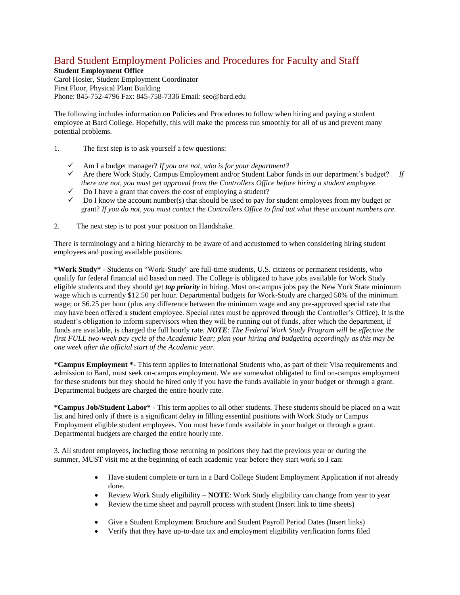# Bard Student Employment Policies and Procedures for Faculty and Staff

**Student Employment Office** Carol Hosier, Student Employment Coordinator First Floor, Physical Plant Building Phone: 845-752-4796 Fax: 845-758-7336 Email: seo@bard.edu

The following includes information on Policies and Procedures to follow when hiring and paying a student employee at Bard College. Hopefully, this will make the process run smoothly for all of us and prevent many potential problems.

- 1. The first step is to ask yourself a few questions:
	- ✓ Am I a budget manager? *If you are not, who is for your department?*
	- ✓ Are there Work Study, Campus Employment and/or Student Labor funds in our department's budget? *If there are not, you must get approval from the Controllers Office before hiring a student employee.*
	- $\checkmark$  Do I have a grant that covers the cost of employing a student?
	- $\checkmark$  Do I know the account number(s) that should be used to pay for student employees from my budget or grant? *If you do not, you must contact the Controllers Office to find out what these account numbers are.*
- 2. The next step is to post your position on Handshake.

There is terminology and a hiring hierarchy to be aware of and accustomed to when considering hiring student employees and posting available positions.

**\*Work Study\*** - Students on "Work-Study" are full-time students, U.S. citizens or permanent residents, who qualify for federal financial aid based on need. The College is obligated to have jobs available for Work Study eligible students and they should get *top priority* in hiring. Most on-campus jobs pay the New York State minimum wage which is currently \$12.50 per hour. Departmental budgets for Work-Study are charged 50% of the minimum wage; or \$6.25 per hour (plus any difference between the minimum wage and any pre-approved special rate that may have been offered a student employee. Special rates must be approved through the Controller's Office). It is the student's obligation to inform supervisors when they will be running out of funds, after which the department, if funds are available, is charged the full hourly rate*. NOTE: The Federal Work Study Program will be effective the first FULL two-week pay cycle of the Academic Year; plan your hiring and budgeting accordingly as this may be one week after the official start of the Academic year.*

**\*Campus Employment \*-** This term applies to International Students who, as part of their Visa requirements and admission to Bard, must seek on-campus employment. We are somewhat obligated to find on-campus employment for these students but they should be hired only if you have the funds available in your budget or through a grant. Departmental budgets are charged the entire hourly rate.

**\*Campus Job/Student Labor\*** - This term applies to all other students. These students should be placed on a wait list and hired only if there is a significant delay in filling essential positions with Work Study or Campus Employment eligible student employees. You must have funds available in your budget or through a grant. Departmental budgets are charged the entire hourly rate.

3. All student employees, including those returning to positions they had the previous year or during the summer, MUST visit me at the beginning of each academic year before they start work so I can:

- Have student complete or turn in a Bard College Student Employment Application if not already done.
- Review Work Study eligibility **NOTE**: Work Study eligibility can change from year to year
- Review the time sheet and payroll process with student (Insert link to time sheets)
- Give a Student Employment Brochure and Student Payroll Period Dates (Insert links)
- Verify that they have up-to-date tax and employment eligibility verification forms filed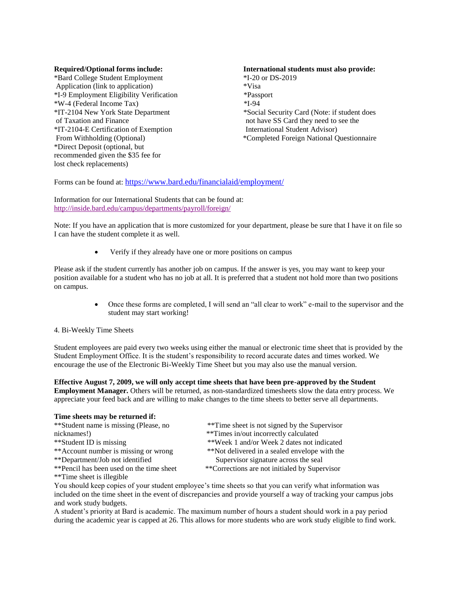\*Bard College Student Employment \*I-20 or DS-2019 Application (link to application) \*Visa \*I-9 Employment Eligibility Verification \*Passport \*W-4 (Federal Income Tax) \*I-94 of Taxation and Finance not have SS Card they need to see the \*IT-2104-E Certification of Exemption International Student Advisor) \*Direct Deposit (optional, but recommended given the \$35 fee for lost check replacements)

## **Required/Optional forms include: International students must also provide:**

\*IT-2104 New York State Department \*Social Security Card (Note: if student does From Withholding (Optional) \*Completed Foreign National Questionnaire

Forms can be found at: <https://www.bard.edu/financialaid/employment/>

Information for our International Students that can be found at: <http://inside.bard.edu/campus/departments/payroll/foreign/>

Note: If you have an application that is more customized for your department, please be sure that I have it on file so I can have the student complete it as well.

• Verify if they already have one or more positions on campus

Please ask if the student currently has another job on campus. If the answer is yes, you may want to keep your position available for a student who has no job at all. It is preferred that a student not hold more than two positions on campus.

> • Once these forms are completed, I will send an "all clear to work" e-mail to the supervisor and the student may start working!

### 4. Bi-Weekly Time Sheets

Student employees are paid every two weeks using either the manual or electronic time sheet that is provided by the Student Employment Office. It is the student's responsibility to record accurate dates and times worked. We encourage the use of the Electronic Bi-Weekly Time Sheet but you may also use the manual version.

### **Effective August 7, 2009, we will only accept time sheets that have been pre-approved by the Student**

**Employment Manager.** Others will be returned, as non-standardized timesheets slow the data entry process. We appreciate your feed back and are willing to make changes to the time sheets to better serve all departments.

#### **Time sheets may be returned if:**

| **Student name is missing (Please, no    | **Time sheet is not signed by the Supervisor                                                              |
|------------------------------------------|-----------------------------------------------------------------------------------------------------------|
| nicknames!)                              | **Times in/out incorrectly calculated                                                                     |
| **Student ID is missing                  | **Week 1 and/or Week 2 dates not indicated                                                                |
| ** Account number is missing or wrong    | **Not delivered in a sealed envelope with the                                                             |
| **Department/Job not identified          | Supervisor signature across the seal                                                                      |
| **Pencil has been used on the time sheet | **Corrections are not initialed by Supervisor                                                             |
| **Time sheet is illegible                |                                                                                                           |
|                                          | You should keep copies of your student employee's time sheets so that you can verify what information was |

included on the time sheet in the event of discrepancies and provide yourself a way of tracking your campus jobs and work study budgets.

A student's priority at Bard is academic. The maximum number of hours a student should work in a pay period during the academic year is capped at 26. This allows for more students who are work study eligible to find work.